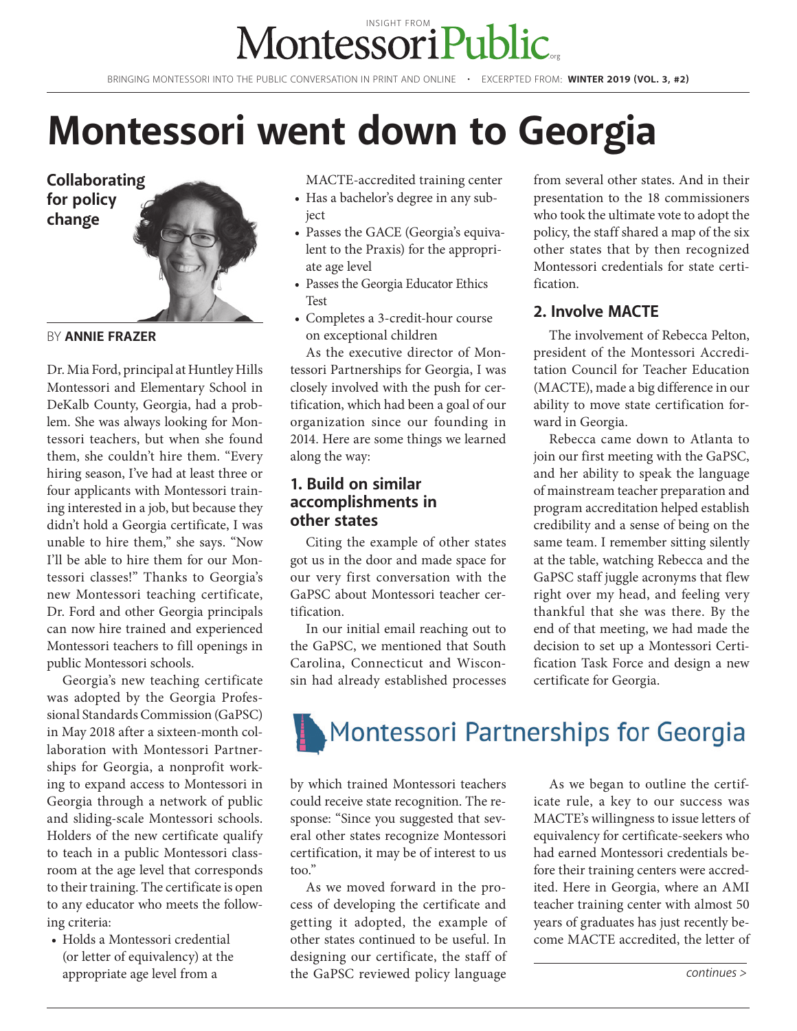### .org [INSIGHT FROM](http://montessoripublic.org)

BRINGING MONTESSORI INTO THE PUBLIC CONVERSATION IN PRINT AND ONLINE • EXCERPTED FROM: **WINTER 2019 (VOL. 3, #2)**

# **Montessori went down to Georgia**



BY **ANNIE FRAZER**

Dr. Mia Ford, principal at Huntley Hills Montessori and Elementary School in DeKalb County, Georgia, had a problem. She was always looking for Montessori teachers, but when she found them, she couldn't hire them. "Every hiring season, I've had at least three or four applicants with Montessori training interested in a job, but because they didn't hold a Georgia certificate, I was unable to hire them," she says. "Now I'll be able to hire them for our Montessori classes!" Thanks to Georgia's new Montessori teaching certificate, Dr. Ford and other Georgia principals can now hire trained and experienced Montessori teachers to fill openings in public Montessori schools.

Georgia's new teaching certificate was adopted by the Georgia Professional Standards Commission (GaPSC) in May 2018 after a sixteen-month collaboration with Montessori Partnerships for Georgia, a nonprofit working to expand access to Montessori in Georgia through a network of public and sliding-scale Montessori schools. Holders of the new certificate qualify to teach in a public Montessori classroom at the age level that corresponds to their training. The certificate is open to any educator who meets the following criteria:

• Holds a Montessori credential (or letter of equivalency) at the appropriate age level from a

MACTE-accredited training center

- Has a bachelor's degree in any subject
- Passes the GACE (Georgia's equivalent to the Praxis) for the appropriate age level
- Passes the Georgia Educator Ethics Test
- Completes a 3-credit-hour course on exceptional children

As the executive director of Montessori Partnerships for Georgia, I was closely involved with the push for certification, which had been a goal of our organization since our founding in 2014. Here are some things we learned along the way:

#### **1. Build on similar accomplishments in other states**

Citing the example of other states got us in the door and made space for our very first conversation with the GaPSC about Montessori teacher certification.

In our initial email reaching out to the GaPSC, we mentioned that South Carolina, Connecticut and Wisconsin had already established processes from several other states. And in their presentation to the 18 commissioners who took the ultimate vote to adopt the policy, the staff shared a map of the six other states that by then recognized Montessori credentials for state certification.

#### **2. Involve MACTE**

The involvement of Rebecca Pelton, president of the Montessori Accreditation Council for Teacher Education (MACTE), made a big difference in our ability to move state certification forward in Georgia.

Rebecca came down to Atlanta to join our first meeting with the GaPSC, and her ability to speak the language of mainstream teacher preparation and program accreditation helped establish credibility and a sense of being on the same team. I remember sitting silently at the table, watching Rebecca and the GaPSC staff juggle acronyms that flew right over my head, and feeling very thankful that she was there. By the end of that meeting, we had made the decision to set up a Montessori Certification Task Force and design a new certificate for Georgia.

# Montessori Partnerships for Georgia

by which trained Montessori teachers could receive state recognition. The response: "Since you suggested that several other states recognize Montessori certification, it may be of interest to us too."

As we moved forward in the process of developing the certificate and getting it adopted, the example of other states continued to be useful. In designing our certificate, the staff of the GaPSC reviewed policy language

As we began to outline the certificate rule, a key to our success was MACTE's willingness to issue letters of equivalency for certificate-seekers who had earned Montessori credentials before their training centers were accredited. Here in Georgia, where an AMI teacher training center with almost 50 years of graduates has just recently become MACTE accredited, the letter of